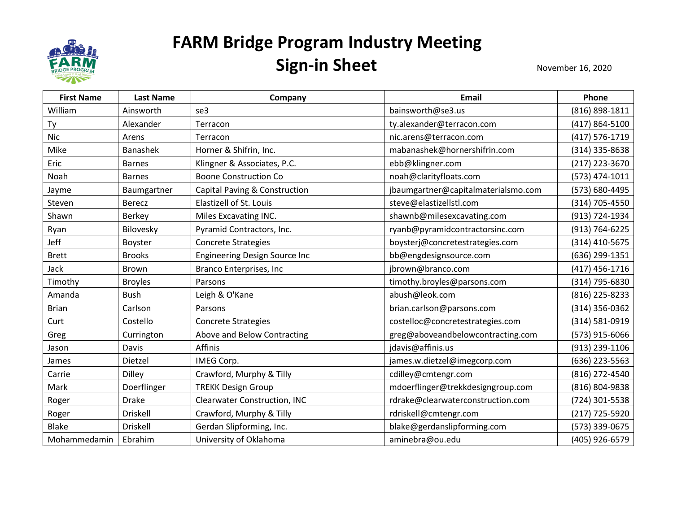

| <b>First Name</b> | <b>Last Name</b> | Company                              | <b>Email</b>                        | Phone          |
|-------------------|------------------|--------------------------------------|-------------------------------------|----------------|
| William           | Ainsworth        | se3                                  | bainsworth@se3.us                   | (816) 898-1811 |
| Ty                | Alexander        | Terracon                             | ty.alexander@terracon.com           | (417) 864-5100 |
| <b>Nic</b>        | Arens            | Terracon                             | nic.arens@terracon.com              | (417) 576-1719 |
| Mike              | <b>Banashek</b>  | Horner & Shifrin, Inc.               | mabanashek@hornershifrin.com        | (314) 335-8638 |
| Eric              | <b>Barnes</b>    | Klingner & Associates, P.C.          | ebb@klingner.com                    | (217) 223-3670 |
| Noah              | <b>Barnes</b>    | <b>Boone Construction Co</b>         | noah@clarityfloats.com              | (573) 474-1011 |
| Jayme             | Baumgartner      | Capital Paving & Construction        | jbaumgartner@capitalmaterialsmo.com | (573) 680-4495 |
| Steven            | <b>Berecz</b>    | Elastizell of St. Louis              | steve@elastizellstl.com             | (314) 705-4550 |
| Shawn             | Berkey           | Miles Excavating INC.                | shawnb@milesexcavating.com          | (913) 724-1934 |
| Ryan              | Bilovesky        | Pyramid Contractors, Inc.            | ryanb@pyramidcontractorsinc.com     | (913) 764-6225 |
| Jeff              | Boyster          | <b>Concrete Strategies</b>           | boysterj@concretestrategies.com     | (314) 410-5675 |
| <b>Brett</b>      | <b>Brooks</b>    | <b>Engineering Design Source Inc</b> | bb@engdesignsource.com              | (636) 299-1351 |
| Jack              | <b>Brown</b>     | Branco Enterprises, Inc              | jbrown@branco.com                   | (417) 456-1716 |
| Timothy           | <b>Broyles</b>   | Parsons                              | timothy.broyles@parsons.com         | (314) 795-6830 |
| Amanda            | <b>Bush</b>      | Leigh & O'Kane                       | abush@leok.com                      | (816) 225-8233 |
| <b>Brian</b>      | Carlson          | Parsons                              | brian.carlson@parsons.com           | (314) 356-0362 |
| Curt              | Costello         | <b>Concrete Strategies</b>           | costelloc@concretestrategies.com    | (314) 581-0919 |
| Greg              | Currington       | Above and Below Contracting          | greg@aboveandbelowcontracting.com   | (573) 915-6066 |
| Jason             | <b>Davis</b>     | Affinis                              | jdavis@affinis.us                   | (913) 239-1106 |
| James             | Dietzel          | IMEG Corp.                           | james.w.dietzel@imegcorp.com        | (636) 223-5563 |
| Carrie            | Dilley           | Crawford, Murphy & Tilly             | cdilley@cmtengr.com                 | (816) 272-4540 |
| Mark              | Doerflinger      | <b>TREKK Design Group</b>            | mdoerflinger@trekkdesigngroup.com   | (816) 804-9838 |
| Roger             | <b>Drake</b>     | <b>Clearwater Construction, INC</b>  | rdrake@clearwaterconstruction.com   | (724) 301-5538 |
| Roger             | Driskell         | Crawford, Murphy & Tilly             | rdriskell@cmtengr.com               | (217) 725-5920 |
| <b>Blake</b>      | Driskell         | Gerdan Slipforming, Inc.             | blake@gerdanslipforming.com         | (573) 339-0675 |
| Mohammedamin      | Ebrahim          | University of Oklahoma               | aminebra@ou.edu                     | (405) 926-6579 |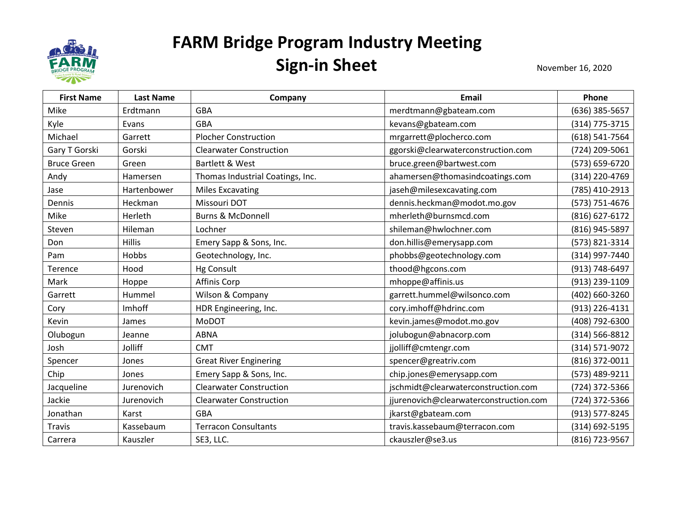

| <b>First Name</b>  | <b>Last Name</b> | Company                          | <b>Email</b>                           | Phone          |
|--------------------|------------------|----------------------------------|----------------------------------------|----------------|
| Mike               | Erdtmann         | <b>GBA</b>                       | merdtmann@gbateam.com                  | (636) 385-5657 |
| Kyle               | Evans            | <b>GBA</b>                       | kevans@gbateam.com                     | (314) 775-3715 |
| Michael            | Garrett          | <b>Plocher Construction</b>      | mrgarrett@plocherco.com                | (618) 541-7564 |
| Gary T Gorski      | Gorski           | <b>Clearwater Construction</b>   | ggorski@clearwaterconstruction.com     | (724) 209-5061 |
| <b>Bruce Green</b> | Green            | Bartlett & West                  | bruce.green@bartwest.com               | (573) 659-6720 |
| Andy               | Hamersen         | Thomas Industrial Coatings, Inc. | ahamersen@thomasindcoatings.com        | (314) 220-4769 |
| Jase               | Hartenbower      | <b>Miles Excavating</b>          | jaseh@milesexcavating.com              | (785) 410-2913 |
| Dennis             | Heckman          | Missouri DOT                     | dennis.heckman@modot.mo.gov            | (573) 751-4676 |
| Mike               | Herleth          | <b>Burns &amp; McDonnell</b>     | mherleth@burnsmcd.com                  | (816) 627-6172 |
| Steven             | Hileman          | Lochner                          | shileman@hwlochner.com                 | (816) 945-5897 |
| Don                | <b>Hillis</b>    | Emery Sapp & Sons, Inc.          | don.hillis@emerysapp.com               | (573) 821-3314 |
| Pam                | Hobbs            | Geotechnology, Inc.              | phobbs@geotechnology.com               | (314) 997-7440 |
| Terence            | Hood             | <b>Hg Consult</b>                | thood@hgcons.com                       | (913) 748-6497 |
| Mark               | Hoppe            | <b>Affinis Corp</b>              | mhoppe@affinis.us                      | (913) 239-1109 |
| Garrett            | Hummel           | Wilson & Company                 | garrett.hummel@wilsonco.com            | (402) 660-3260 |
| Cory               | Imhoff           | HDR Engineering, Inc.            | cory.imhoff@hdrinc.com                 | (913) 226-4131 |
| Kevin              | James            | <b>MoDOT</b>                     | kevin.james@modot.mo.gov               | (408) 792-6300 |
| Olubogun           | Jeanne           | <b>ABNA</b>                      | jolubogun@abnacorp.com                 | (314) 566-8812 |
| Josh               | Jolliff          | <b>CMT</b>                       | jjolliff@cmtengr.com                   | (314) 571-9072 |
| Spencer            | Jones            | <b>Great River Enginering</b>    | spencer@greatriv.com                   | (816) 372-0011 |
| Chip               | Jones            | Emery Sapp & Sons, Inc.          | chip.jones@emerysapp.com               | (573) 489-9211 |
| Jacqueline         | Jurenovich       | <b>Clearwater Construction</b>   | jschmidt@clearwaterconstruction.com    | (724) 372-5366 |
| Jackie             | Jurenovich       | <b>Clearwater Construction</b>   | jjurenovich@clearwaterconstruction.com | (724) 372-5366 |
| Jonathan           | Karst            | <b>GBA</b>                       | jkarst@gbateam.com                     | (913) 577-8245 |
| Travis             | Kassebaum        | <b>Terracon Consultants</b>      | travis.kassebaum@terracon.com          | (314) 692-5195 |
| Carrera            | Kauszler         | SE3, LLC.                        | ckauszler@se3.us                       | (816) 723-9567 |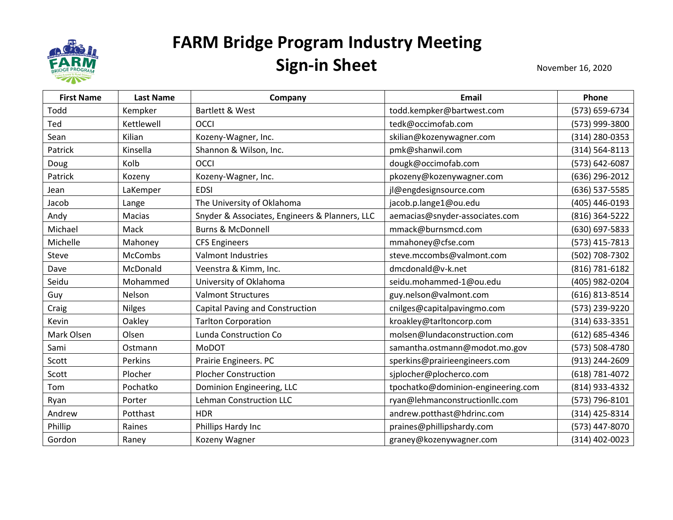

| <b>First Name</b> | <b>Last Name</b> | Company                                        | Email                              | Phone          |
|-------------------|------------------|------------------------------------------------|------------------------------------|----------------|
| Todd              | Kempker          | Bartlett & West                                | todd.kempker@bartwest.com          | (573) 659-6734 |
| Ted               | Kettlewell       | OCCI                                           | tedk@occimofab.com                 | (573) 999-3800 |
| Sean              | Kilian           | Kozeny-Wagner, Inc.                            | skilian@kozenywagner.com           | (314) 280-0353 |
| Patrick           | Kinsella         | Shannon & Wilson, Inc.                         | pmk@shanwil.com                    | (314) 564-8113 |
| Doug              | Kolb             | OCCI                                           | dougk@occimofab.com                | (573) 642-6087 |
| Patrick           | Kozeny           | Kozeny-Wagner, Inc.                            | pkozeny@kozenywagner.com           | (636) 296-2012 |
| Jean              | LaKemper         | <b>EDSI</b>                                    | jl@engdesignsource.com             | (636) 537-5585 |
| Jacob             | Lange            | The University of Oklahoma                     | jacob.p.lange1@ou.edu              | (405) 446-0193 |
| Andy              | Macias           | Snyder & Associates, Engineers & Planners, LLC | aemacias@snyder-associates.com     | (816) 364-5222 |
| Michael           | Mack             | <b>Burns &amp; McDonnell</b>                   | mmack@burnsmcd.com                 | (630) 697-5833 |
| Michelle          | Mahoney          | <b>CFS Engineers</b>                           | mmahoney@cfse.com                  | (573) 415-7813 |
| Steve             | McCombs          | Valmont Industries                             | steve.mccombs@valmont.com          | (502) 708-7302 |
| Dave              | McDonald         | Veenstra & Kimm, Inc.                          | dmcdonald@v-k.net                  | (816) 781-6182 |
| Seidu             | Mohammed         | University of Oklahoma                         | seidu.mohammed-1@ou.edu            | (405) 982-0204 |
| Guy               | Nelson           | <b>Valmont Structures</b>                      | guy.nelson@valmont.com             | (616) 813-8514 |
| Craig             | <b>Nilges</b>    | Capital Paving and Construction                | cnilges@capitalpavingmo.com        | (573) 239-9220 |
| Kevin             | Oakley           | <b>Tarlton Corporation</b>                     | kroakley@tarltoncorp.com           | (314) 633-3351 |
| Mark Olsen        | Olsen            | Lunda Construction Co                          | molsen@lundaconstruction.com       | (612) 685-4346 |
| Sami              | Ostmann          | <b>MoDOT</b>                                   | samantha.ostmann@modot.mo.gov      | (573) 508-4780 |
| Scott             | Perkins          | Prairie Engineers. PC                          | sperkins@prairieengineers.com      | (913) 244-2609 |
| Scott             | Plocher          | <b>Plocher Construction</b>                    | sjplocher@plocherco.com            | (618) 781-4072 |
| Tom               | Pochatko         | Dominion Engineering, LLC                      | tpochatko@dominion-engineering.com | (814) 933-4332 |
| Ryan              | Porter           | <b>Lehman Construction LLC</b>                 | ryan@lehmanconstructionllc.com     | (573) 796-8101 |
| Andrew            | Potthast         | <b>HDR</b>                                     | andrew.potthast@hdrinc.com         | (314) 425-8314 |
| Phillip           | Raines           | Phillips Hardy Inc                             | praines@phillipshardy.com          | (573) 447-8070 |
| Gordon            | Raney            | Kozeny Wagner                                  | graney@kozenywagner.com            | (314) 402-0023 |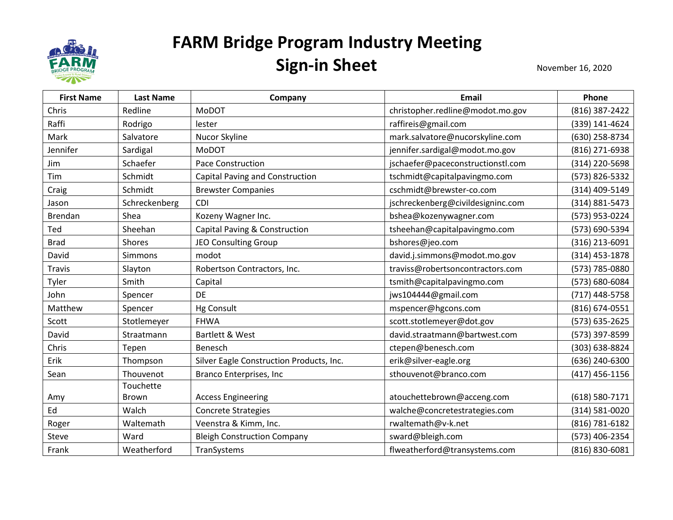

| <b>First Name</b> | <b>Last Name</b> | Company                                  | <b>Email</b>                      | Phone          |
|-------------------|------------------|------------------------------------------|-----------------------------------|----------------|
| Chris             | Redline          | <b>MoDOT</b>                             | christopher.redline@modot.mo.gov  | (816) 387-2422 |
| Raffi             | Rodrigo          | lester                                   | raffireis@gmail.com               | (339) 141-4624 |
| Mark              | Salvatore        | Nucor Skyline                            | mark.salvatore@nucorskyline.com   | (630) 258-8734 |
| Jennifer          | Sardigal         | <b>MoDOT</b>                             | jennifer.sardigal@modot.mo.gov    | (816) 271-6938 |
| Jim               | Schaefer         | Pace Construction                        | jschaefer@paceconstructionstl.com | (314) 220-5698 |
| Tim               | Schmidt          | Capital Paving and Construction          | tschmidt@capitalpavingmo.com      | (573) 826-5332 |
| Craig             | Schmidt          | <b>Brewster Companies</b>                | cschmidt@brewster-co.com          | (314) 409-5149 |
| Jason             | Schreckenberg    | <b>CDI</b>                               | jschreckenberg@civildesigninc.com | (314) 881-5473 |
| Brendan           | Shea             | Kozeny Wagner Inc.                       | bshea@kozenywagner.com            | (573) 953-0224 |
| Ted               | Sheehan          | Capital Paving & Construction            | tsheehan@capitalpavingmo.com      | (573) 690-5394 |
| <b>Brad</b>       | Shores           | JEO Consulting Group                     | bshores@jeo.com                   | (316) 213-6091 |
| David             | Simmons          | modot                                    | david.j.simmons@modot.mo.gov      | (314) 453-1878 |
| <b>Travis</b>     | Slayton          | Robertson Contractors, Inc.              | traviss@robertsoncontractors.com  | (573) 785-0880 |
| Tyler             | Smith            | Capital                                  | tsmith@capitalpavingmo.com        | (573) 680-6084 |
| John              | Spencer          | DE                                       | jws104444@gmail.com               | (717) 448-5758 |
| Matthew           | Spencer          | <b>Hg Consult</b>                        | mspencer@hgcons.com               | (816) 674-0551 |
| Scott             | Stotlemeyer      | <b>FHWA</b>                              | scott.stotlemeyer@dot.gov         | (573) 635-2625 |
| David             | Straatmann       | Bartlett & West                          | david.straatmann@bartwest.com     | (573) 397-8599 |
| Chris             | Tepen            | Benesch                                  | ctepen@benesch.com                | (303) 638-8824 |
| Erik              | Thompson         | Silver Eagle Construction Products, Inc. | erik@silver-eagle.org             | (636) 240-6300 |
| Sean              | Thouvenot        | Branco Enterprises, Inc                  | sthouvenot@branco.com             | (417) 456-1156 |
|                   | Touchette        |                                          |                                   |                |
| Amy               | <b>Brown</b>     | <b>Access Engineering</b>                | atouchettebrown@acceng.com        | (618) 580-7171 |
| Ed                | Walch            | <b>Concrete Strategies</b>               | walche@concretestrategies.com     | (314) 581-0020 |
| Roger             | Waltemath        | Veenstra & Kimm, Inc.                    | rwaltemath@v-k.net                | (816) 781-6182 |
| Steve             | Ward             | <b>Bleigh Construction Company</b>       | sward@bleigh.com                  | (573) 406-2354 |
| Frank             | Weatherford      | TranSystems                              | flweatherford@transystems.com     | (816) 830-6081 |